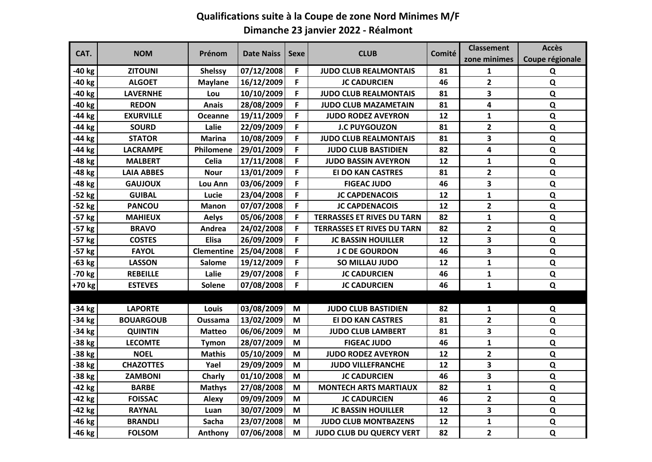## **Qualifications suite à la Coupe de zone Nord Minimes M/F Dimanche 23 janvier 2022 - Réalmont**

| CAT.     | <b>NOM</b>        | Prénom            | <b>Date Naiss</b> | Sexe | <b>CLUB</b>                       | Comité | <b>Classement</b> | <b>Accès</b>    |
|----------|-------------------|-------------------|-------------------|------|-----------------------------------|--------|-------------------|-----------------|
|          |                   |                   |                   |      |                                   |        | zone minimes      | Coupe régionale |
| -40 kg   | <b>ZITOUNI</b>    | <b>Shelssy</b>    | 07/12/2008        | F    | <b>JUDO CLUB REALMONTAIS</b>      | 81     | 1                 | Q               |
| $-40$ kg | <b>ALGOET</b>     | <b>Maylane</b>    | 16/12/2009        | F    | <b>JC CADURCIEN</b>               | 46     | $\mathbf{2}$      | Q               |
| -40 kg   | <b>LAVERNHE</b>   | Lou               | 10/10/2009        | F    | <b>JUDO CLUB REALMONTAIS</b>      | 81     | 3                 | Q               |
| -40 kg   | <b>REDON</b>      | <b>Anais</b>      | 28/08/2009        | F    | <b>JUDO CLUB MAZAMETAIN</b>       | 81     | 4                 | Q               |
| -44 kg   | <b>EXURVILLE</b>  | <b>Oceanne</b>    | 19/11/2009        | F    | <b>JUDO RODEZ AVEYRON</b>         | 12     | $\mathbf{1}$      | Q               |
| $-44$ kg | <b>SOURD</b>      | Lalie             | 22/09/2009        | F    | <b>J.C PUYGOUZON</b>              | 81     | $\overline{2}$    | Q               |
| -44 kg   | <b>STATOR</b>     | <b>Marina</b>     | 10/08/2009        | F    | <b>JUDO CLUB REALMONTAIS</b>      | 81     | 3                 | ${\bf Q}$       |
| -44 kg   | <b>LACRAMPE</b>   | Philomene         | 29/01/2009        | F    | <b>JUDO CLUB BASTIDIEN</b>        | 82     | 4                 | Q               |
| -48 kg   | <b>MALBERT</b>    | Celia             | 17/11/2008        | F    | <b>JUDO BASSIN AVEYRON</b>        | 12     | $\mathbf{1}$      | Q               |
| -48 kg   | <b>LAIA ABBES</b> | <b>Nour</b>       | 13/01/2009        | F    | <b>EI DO KAN CASTRES</b>          | 81     | $\overline{2}$    | $\mathbf Q$     |
| -48 kg   | <b>GAUJOUX</b>    | Lou Ann           | 03/06/2009        | F    | <b>FIGEAC JUDO</b>                | 46     | 3                 | Q               |
| $-52$ kg | <b>GUIBAL</b>     | Lucie             | 23/04/2008        | F    | <b>JC CAPDENACOIS</b>             | 12     | $\mathbf{1}$      | Q               |
| $-52$ kg | <b>PANCOU</b>     | <b>Manon</b>      | 07/07/2008        | F    | <b>JC CAPDENACOIS</b>             | 12     | $\overline{2}$    | ${\bf Q}$       |
| -57 kg   | <b>MAHIEUX</b>    | <b>Aelys</b>      | 05/06/2008        | F    | <b>TERRASSES ET RIVES DU TARN</b> | 82     | $\mathbf{1}$      | $\mathbf Q$     |
| -57 kg   | <b>BRAVO</b>      | Andrea            | 24/02/2008        | F    | <b>TERRASSES ET RIVES DU TARN</b> | 82     | $\mathbf{2}$      | Q               |
| $-57$ kg | <b>COSTES</b>     | <b>Elisa</b>      | 26/09/2009        | F    | <b>JC BASSIN HOUILLER</b>         | 12     | 3                 | Q               |
| $-57$ kg | <b>FAYOL</b>      | <b>Clementine</b> | 25/04/2008        | F    | <b>J C DE GOURDON</b>             | 46     | 3                 | Q               |
| $-63$ kg | <b>LASSON</b>     | <b>Salome</b>     | 19/12/2009        | F    | SO MILLAU JUDO                    | 12     | $\mathbf{1}$      | $\mathbf Q$     |
| -70 kg   | <b>REBEILLE</b>   | Lalie             | 29/07/2008        | F    | <b>JC CADURCIEN</b>               | 46     | $\mathbf{1}$      | Q               |
| +70 kg   | <b>ESTEVES</b>    | Solene            | 07/08/2008        | F    | <b>JC CADURCIEN</b>               | 46     | $\mathbf{1}$      | Q               |
|          |                   |                   |                   |      |                                   |        |                   |                 |
| $-34$ kg | <b>LAPORTE</b>    | Louis             | 03/08/2009        | M    | <b>JUDO CLUB BASTIDIEN</b>        | 82     | 1                 | Q               |
| $-34$ kg | <b>BOUARGOUB</b>  | Oussama           | 13/02/2009        | M    | <b>EI DO KAN CASTRES</b>          | 81     | $\mathbf{2}$      | Q               |
| $-34$ kg | <b>QUINTIN</b>    | <b>Matteo</b>     | 06/06/2009        | M    | <b>JUDO CLUB LAMBERT</b>          | 81     | 3                 | $\mathbf Q$     |
| -38 kg   | <b>LECOMTE</b>    | <b>Tymon</b>      | 28/07/2009        | M    | <b>FIGEAC JUDO</b>                | 46     | $\mathbf{1}$      | $\mathbf Q$     |
| -38 kg   | <b>NOEL</b>       | <b>Mathis</b>     | 05/10/2009        | M    | <b>JUDO RODEZ AVEYRON</b>         | 12     | $\overline{2}$    | Q               |
| -38 kg   | <b>CHAZOTTES</b>  | Yael              | 29/09/2009        | M    | <b>JUDO VILLEFRANCHE</b>          | 12     | 3                 | Q               |
| -38 kg   | <b>ZAMBONI</b>    | Charly            | 01/10/2008        | M    | <b>JC CADURCIEN</b>               | 46     | 3                 | $\mathbf Q$     |
| $-42$ kg | <b>BARBE</b>      | <b>Mathys</b>     | 27/08/2008        | M    | <b>MONTECH ARTS MARTIAUX</b>      | 82     | $\mathbf{1}$      | $\mathbf Q$     |
| -42 kg   | <b>FOISSAC</b>    | Alexy             | 09/09/2009        | M    | <b>JC CADURCIEN</b>               | 46     | $\mathbf{2}$      | $\mathbf Q$     |
| -42 kg   | <b>RAYNAL</b>     | Luan              | 30/07/2009        | M    | <b>JC BASSIN HOUILLER</b>         | 12     | 3                 | ${\bf Q}$       |
| -46 kg   | <b>BRANDLI</b>    | Sacha             | 23/07/2008        | M    | <b>JUDO CLUB MONTBAZENS</b>       | 12     | $\mathbf{1}$      | ${\bf Q}$       |
| -46 kg   | <b>FOLSOM</b>     | Anthony           | 07/06/2008        | M    | <b>JUDO CLUB DU QUERCY VERT</b>   | 82     | $\overline{2}$    | Q               |